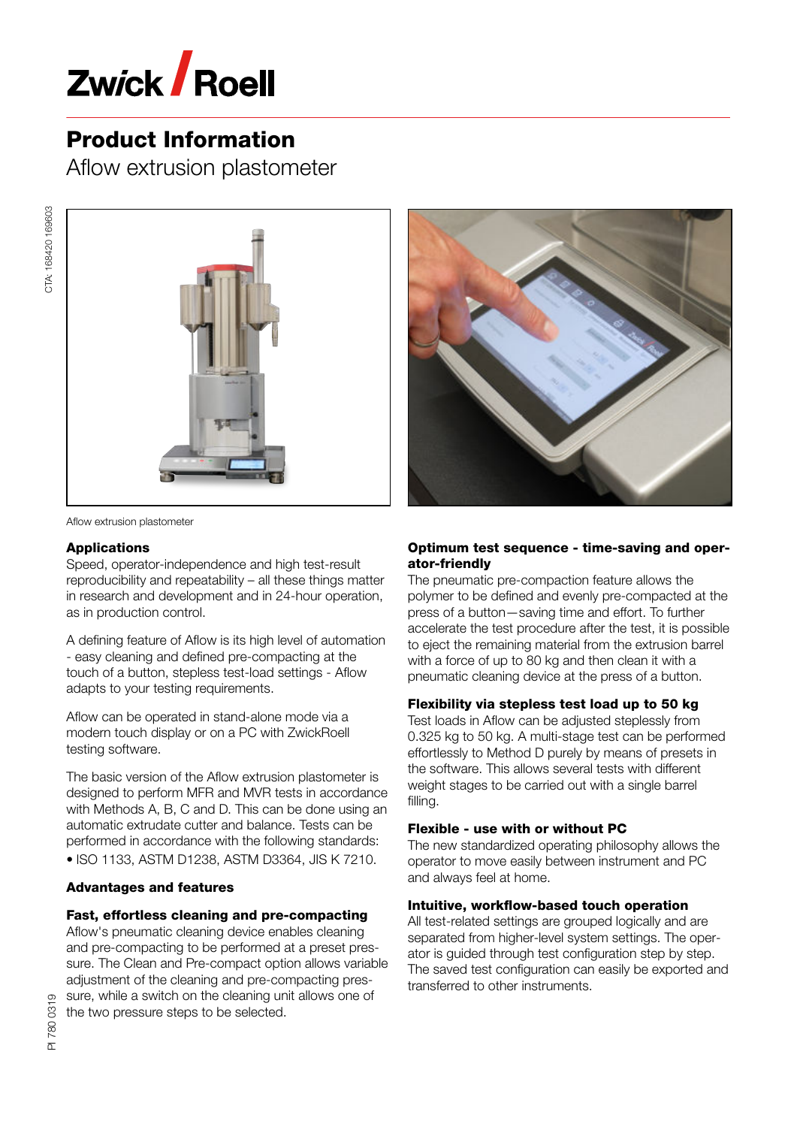

Aflow extrusion plastometer



Aflow extrusion plastometer

## Applications

CTA: 168420 169603

CTA: 168420 169603

Speed, operator-independence and high test-result reproducibility and repeatability – all these things matter in research and development and in 24-hour operation, as in production control.

A defining feature of Aflow is its high level of automation - easy cleaning and defined pre-compacting at the touch of a button, stepless test-load settings - Aflow adapts to your testing requirements.

Aflow can be operated in stand-alone mode via a modern touch display or on a PC with ZwickRoell testing software.

The basic version of the Aflow extrusion plastometer is designed to perform MFR and MVR tests in accordance with Methods A, B, C and D. This can be done using an automatic extrudate cutter and balance. Tests can be performed in accordance with the following standards: • ISO 1133, ASTM D1238, ASTM D3364, JIS K 7210.

## Advantages and features

# Fast, effortless cleaning and pre-compacting

Aflow's pneumatic cleaning device enables cleaning and pre-compacting to be performed at a preset pres‐ sure. The Clean and Pre-compact option allows variable adjustment of the cleaning and pre-compacting pres‐ sure, while a switch on the cleaning unit allows one of the two pressure steps to be selected.



# Optimum test sequence - time-saving and oper‐ ator-friendly

The pneumatic pre-compaction feature allows the polymer to be defined and evenly pre-compacted at the press of a button—saving time and effort. To further accelerate the test procedure after the test, it is possible to eject the remaining material from the extrusion barrel with a force of up to 80 kg and then clean it with a pneumatic cleaning device at the press of a button.

## Flexibility via stepless test load up to 50 kg

Test loads in Aflow can be adjusted steplessly from 0.325 kg to 50 kg. A multi-stage test can be performed effortlessly to Method D purely by means of presets in the software. This allows several tests with different weight stages to be carried out with a single barrel filling.

## Flexible - use with or without PC

The new standardized operating philosophy allows the operator to move easily between instrument and PC and always feel at home.

## Intuitive, workflow-based touch operation

All test-related settings are grouped logically and are separated from higher-level system settings. The oper‐ ator is guided through test configuration step by step. The saved test configuration can easily be exported and transferred to other instruments.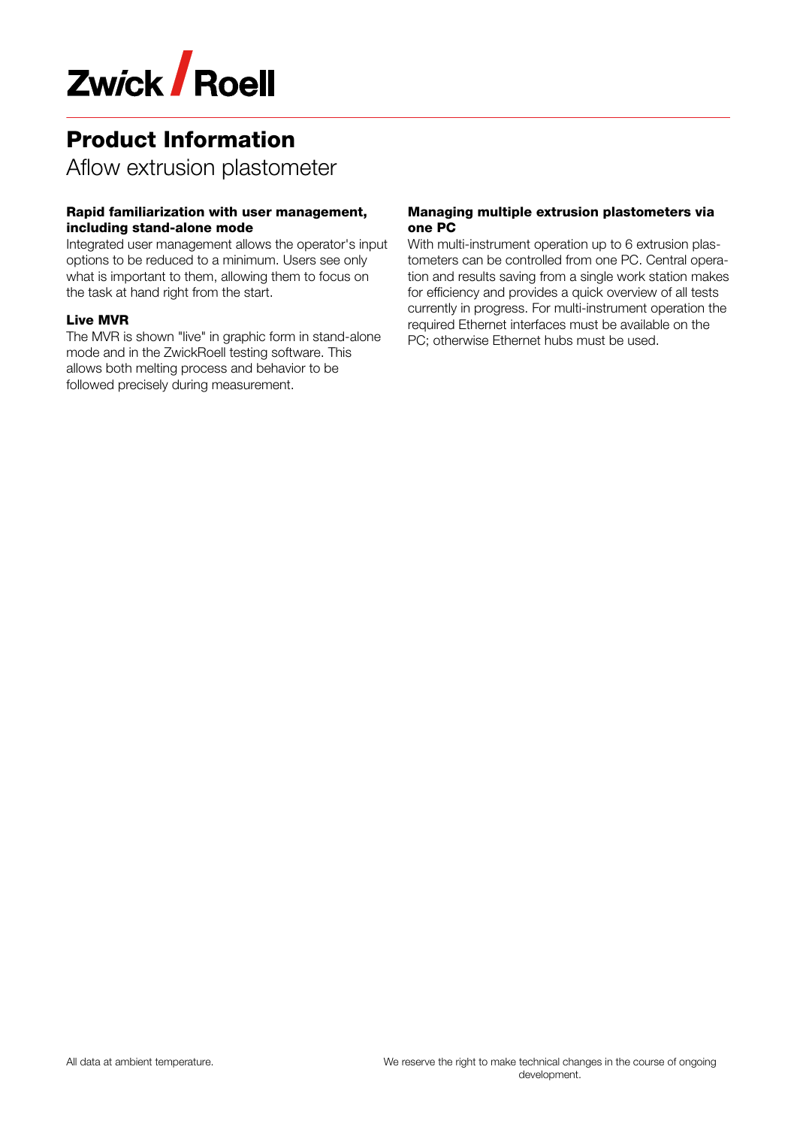

Aflow extrusion plastometer

# Rapid familiarization with user management, including stand-alone mode

Integrated user management allows the operator's input options to be reduced to a minimum. Users see only what is important to them, allowing them to focus on the task at hand right from the start.

## Live MVR

The MVR is shown "live" in graphic form in stand-alone mode and in the ZwickRoell testing software. This allows both melting process and behavior to be followed precisely during measurement.

### Managing multiple extrusion plastometers via one PC

With multi-instrument operation up to 6 extrusion plastometers can be controlled from one PC. Central operation and results saving from a single work station makes for efficiency and provides a quick overview of all tests currently in progress. For multi-instrument operation the required Ethernet interfaces must be available on the PC; otherwise Ethernet hubs must be used.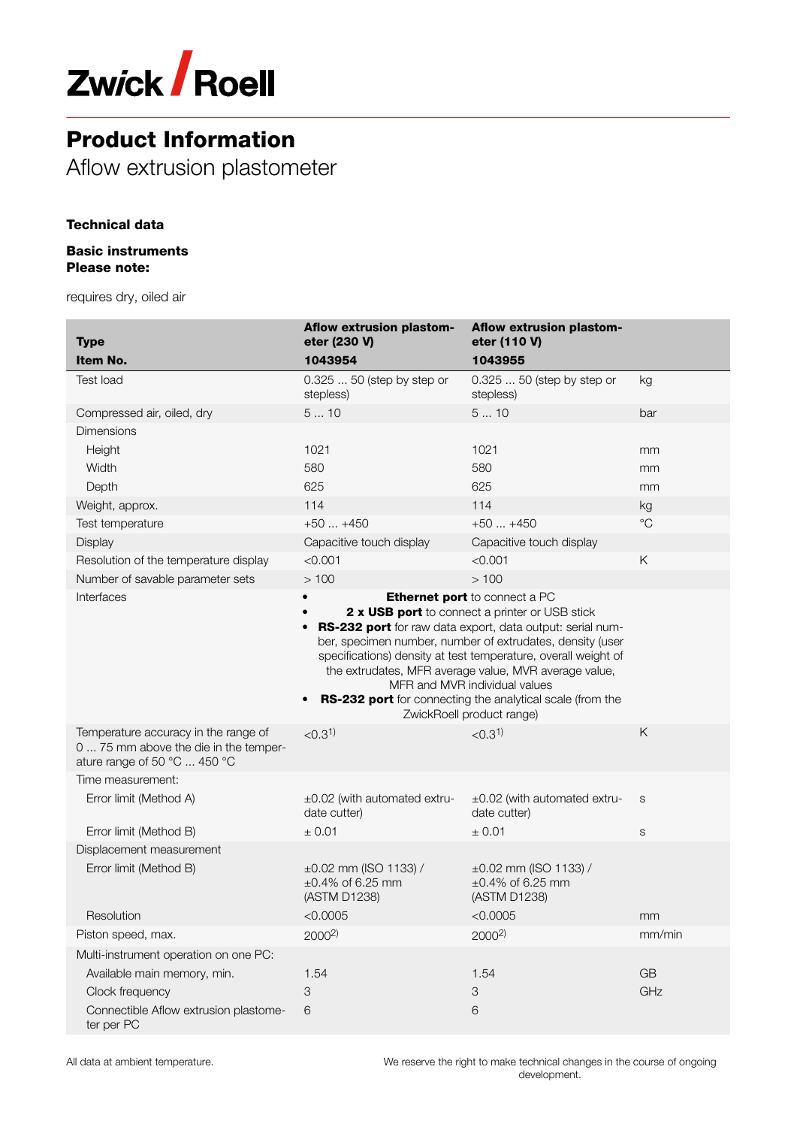

Aflow extrusion plastometer

# Technical data

#### Basic instruments Please note:

requires dry, oiled air

| <b>Type</b>                                                                                                   | Aflow extrusion plastom-<br>eter (230 V)                                                                                                                                                                                                                                                                                                                                                                                                                                                         | Aflow extrusion plastom-<br>eter (110 V)                                         |             |
|---------------------------------------------------------------------------------------------------------------|--------------------------------------------------------------------------------------------------------------------------------------------------------------------------------------------------------------------------------------------------------------------------------------------------------------------------------------------------------------------------------------------------------------------------------------------------------------------------------------------------|----------------------------------------------------------------------------------|-------------|
| Item No.                                                                                                      | 1043954                                                                                                                                                                                                                                                                                                                                                                                                                                                                                          | 1043955                                                                          |             |
| <b>Test load</b>                                                                                              | 0.325  50 (step by step or<br>stepless)                                                                                                                                                                                                                                                                                                                                                                                                                                                          | 0.325  50 (step by step or<br>stepless)                                          | kg          |
| Compressed air, oiled, dry                                                                                    | 510                                                                                                                                                                                                                                                                                                                                                                                                                                                                                              | 510                                                                              | bar         |
| Dimensions                                                                                                    |                                                                                                                                                                                                                                                                                                                                                                                                                                                                                                  |                                                                                  |             |
| Height                                                                                                        | 1021                                                                                                                                                                                                                                                                                                                                                                                                                                                                                             | 1021                                                                             | mm          |
| Width                                                                                                         | 580                                                                                                                                                                                                                                                                                                                                                                                                                                                                                              | 580                                                                              | mm          |
| Depth                                                                                                         | 625                                                                                                                                                                                                                                                                                                                                                                                                                                                                                              | 625                                                                              | mm          |
| Weight, approx.                                                                                               | 114                                                                                                                                                                                                                                                                                                                                                                                                                                                                                              | 114                                                                              | kg          |
| Test temperature                                                                                              | $+50+450$                                                                                                                                                                                                                                                                                                                                                                                                                                                                                        | $+50+450$                                                                        | $^{\circ}C$ |
| Display                                                                                                       | Capacitive touch display                                                                                                                                                                                                                                                                                                                                                                                                                                                                         | Capacitive touch display                                                         |             |
| Resolution of the temperature display                                                                         | < 0.001                                                                                                                                                                                                                                                                                                                                                                                                                                                                                          | < 0.001                                                                          | Κ           |
| Number of savable parameter sets                                                                              | >100                                                                                                                                                                                                                                                                                                                                                                                                                                                                                             | >100                                                                             |             |
| Interfaces                                                                                                    | <b>Ethernet port</b> to connect a PC<br>$\bullet$<br>2 x USB port to connect a printer or USB stick<br>RS-232 port for raw data export, data output: serial num-<br>ber, specimen number, number of extrudates, density (user<br>specifications) density at test temperature, overall weight of<br>the extrudates, MFR average value, MVR average value,<br>MFR and MVR individual values<br>RS-232 port for connecting the analytical scale (from the<br>$\bullet$<br>ZwickRoell product range) |                                                                                  |             |
| Temperature accuracy in the range of<br>0  75 mm above the die in the temper-<br>ature range of 50 °C  450 °C | < 0.3 <sup>1</sup>                                                                                                                                                                                                                                                                                                                                                                                                                                                                               | < 0.3 <sup>1</sup>                                                               | Κ           |
| Time measurement:                                                                                             |                                                                                                                                                                                                                                                                                                                                                                                                                                                                                                  |                                                                                  |             |
| Error limit (Method A)                                                                                        | ±0.02 (with automated extru-<br>date cutter)                                                                                                                                                                                                                                                                                                                                                                                                                                                     | ±0.02 (with automated extru-<br>date cutter)                                     | S           |
| Error limit (Method B)                                                                                        | ± 0.01                                                                                                                                                                                                                                                                                                                                                                                                                                                                                           | ± 0.01                                                                           | $\mathbf S$ |
| Displacement measurement                                                                                      |                                                                                                                                                                                                                                                                                                                                                                                                                                                                                                  |                                                                                  |             |
| Error limit (Method B)<br>Resolution                                                                          | $\pm 0.02$ mm (ISO 1133) /<br>$\pm 0.4\%$ of 6.25 mm<br>(ASTM D1238)<br>< 0.0005                                                                                                                                                                                                                                                                                                                                                                                                                 | $\pm 0.02$ mm (ISO 1133) /<br>$\pm 0.4\%$ of 6.25 mm<br>(ASTM D1238)<br>< 0.0005 | mm          |
| Piston speed, max.                                                                                            | $2000^{2}$                                                                                                                                                                                                                                                                                                                                                                                                                                                                                       | $2000^{2}$                                                                       | mm/min      |
| Multi-instrument operation on one PC:                                                                         |                                                                                                                                                                                                                                                                                                                                                                                                                                                                                                  |                                                                                  |             |
| Available main memory, min.                                                                                   | 1.54                                                                                                                                                                                                                                                                                                                                                                                                                                                                                             | 1.54                                                                             | <b>GB</b>   |
| Clock frequency                                                                                               | 3                                                                                                                                                                                                                                                                                                                                                                                                                                                                                                | $\ensuremath{\mathsf{3}}$                                                        | GHz         |
| Connectible Aflow extrusion plastome-<br>ter per PC                                                           | 6                                                                                                                                                                                                                                                                                                                                                                                                                                                                                                | 6                                                                                |             |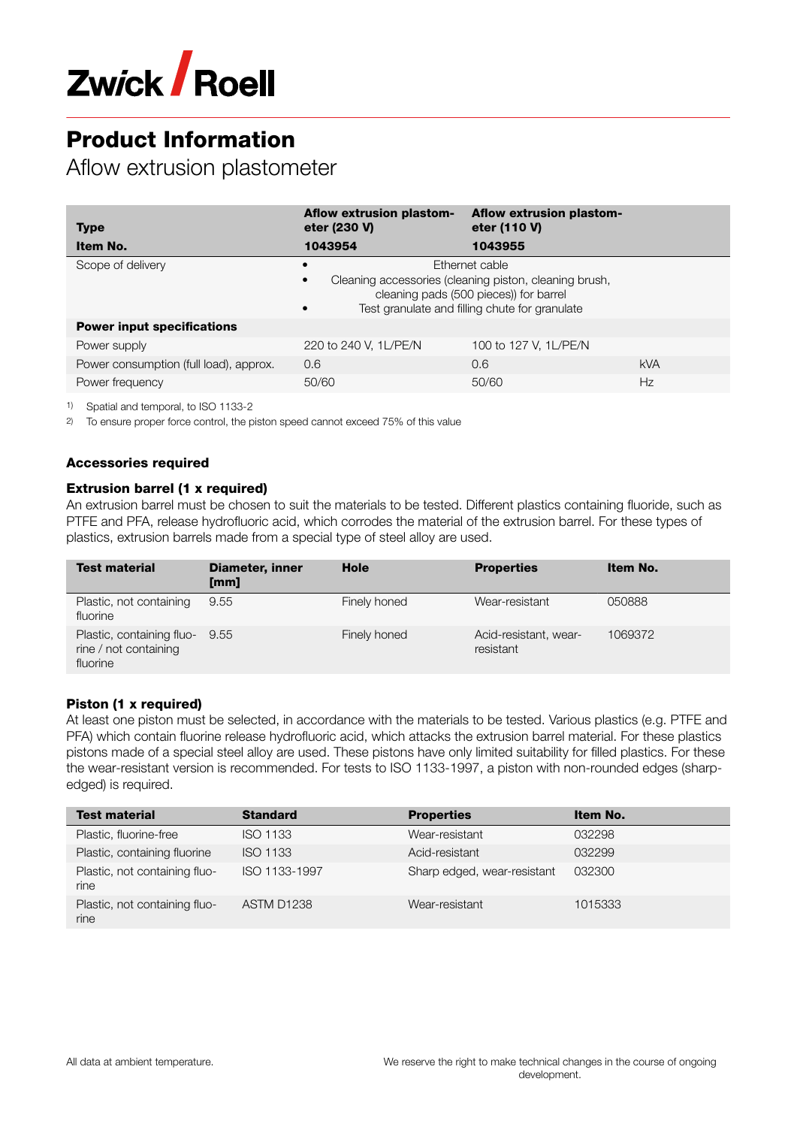

Aflow extrusion plastometer

| <b>Type</b>                            | Aflow extrusion plastom-<br>eter (230 V)                                                                                                                                                                    | <b>Aflow extrusion plastom-</b><br>eter (110 V) |            |
|----------------------------------------|-------------------------------------------------------------------------------------------------------------------------------------------------------------------------------------------------------------|-------------------------------------------------|------------|
| Item No.                               | 1043954                                                                                                                                                                                                     | 1043955                                         |            |
| Scope of delivery                      | Ethernet cable<br>$\bullet$<br>Cleaning accessories (cleaning piston, cleaning brush,<br>$\bullet$<br>cleaning pads (500 pieces)) for barrel<br>Test granulate and filling chute for granulate<br>$\bullet$ |                                                 |            |
| <b>Power input specifications</b>      |                                                                                                                                                                                                             |                                                 |            |
| Power supply                           | 220 to 240 V, 1L/PE/N                                                                                                                                                                                       | 100 to 127 V, 1L/PE/N                           |            |
| Power consumption (full load), approx. | 0.6                                                                                                                                                                                                         | 0.6                                             | <b>kVA</b> |
| Power frequency                        | 50/60                                                                                                                                                                                                       | 50/60                                           | Hz         |

1) Spatial and temporal, to ISO 1133-2

2) To ensure proper force control, the piston speed cannot exceed 75% of this value

## Accessories required

### Extrusion barrel (1 x required)

An extrusion barrel must be chosen to suit the materials to be tested. Different plastics containing fluoride, such as PTFE and PFA, release hydrofluoric acid, which corrodes the material of the extrusion barrel. For these types of plastics, extrusion barrels made from a special type of steel alloy are used.

| <b>Test material</b>                                           | <b>Diameter, inner</b><br>[mm] | Hole         | <b>Properties</b>                  | Item No. |
|----------------------------------------------------------------|--------------------------------|--------------|------------------------------------|----------|
| Plastic, not containing<br>fluorine                            | 9.55                           | Finely honed | Wear-resistant                     | 050888   |
| Plastic, containing fluo-<br>rine / not containing<br>fluorine | 9.55                           | Finely honed | Acid-resistant, wear-<br>resistant | 1069372  |

## Piston (1 x required)

At least one piston must be selected, in accordance with the materials to be tested. Various plastics (e.g. PTFE and PFA) which contain fluorine release hydrofluoric acid, which attacks the extrusion barrel material. For these plastics pistons made of a special steel alloy are used. These pistons have only limited suitability for filled plastics. For these the wear-resistant version is recommended. For tests to ISO 1133-1997, a piston with non-rounded edges (sharpedged) is required.

| <b>Test material</b>                  | <b>Standard</b> | <b>Properties</b>           | Item No. |
|---------------------------------------|-----------------|-----------------------------|----------|
| Plastic, fluorine-free                | <b>ISO 1133</b> | Wear-resistant              | 032298   |
| Plastic, containing fluorine          | <b>ISO 1133</b> | Acid-resistant              | 032299   |
| Plastic, not containing fluo-<br>rine | ISO 1133-1997   | Sharp edged, wear-resistant | 032300   |
| Plastic, not containing fluo-<br>rine | ASTM D1238      | Wear-resistant              | 1015333  |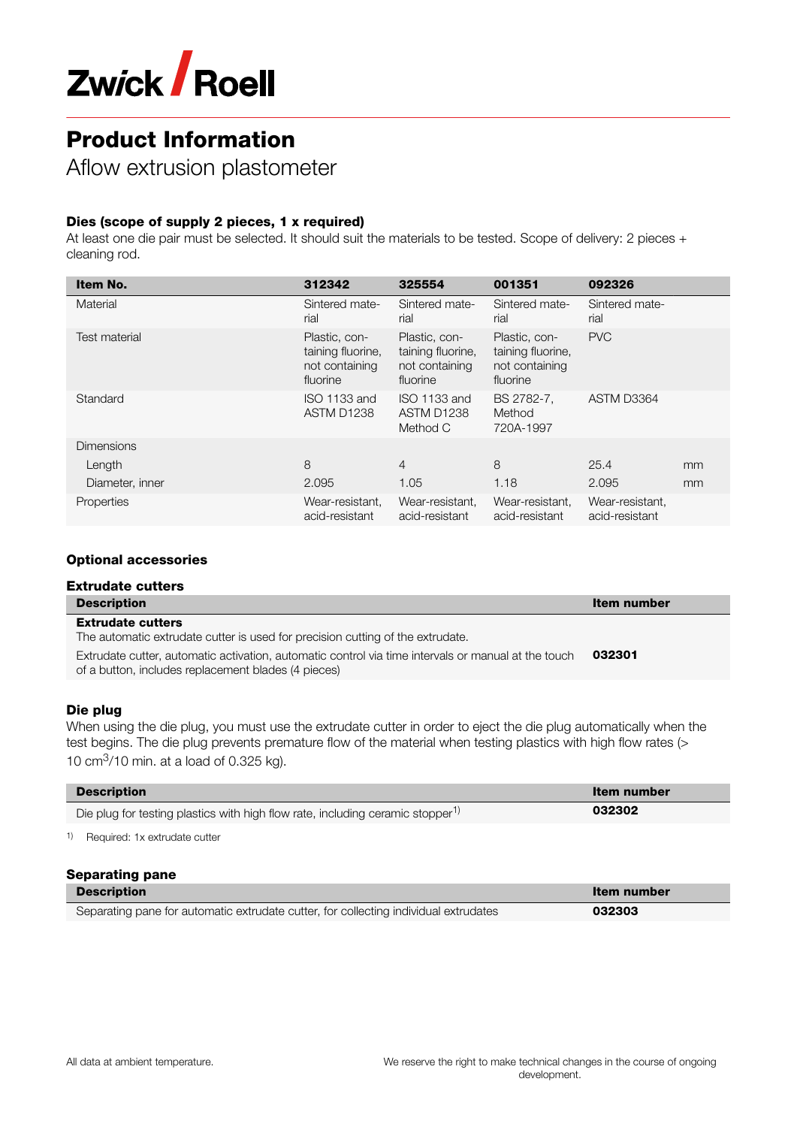

Aflow extrusion plastometer

# Dies (scope of supply 2 pieces, 1 x required)

At least one die pair must be selected. It should suit the materials to be tested. Scope of delivery: 2 pieces + cleaning rod.

| Item No.             | 312342                                                           | 325554                                                           | 001351                                                           | 092326                            |    |
|----------------------|------------------------------------------------------------------|------------------------------------------------------------------|------------------------------------------------------------------|-----------------------------------|----|
| Material             | Sintered mate-<br>rial                                           | Sintered mate-<br>rial                                           | Sintered mate-<br>rial                                           | Sintered mate-<br>rial            |    |
| <b>Test material</b> | Plastic, con-<br>taining fluorine,<br>not containing<br>fluorine | Plastic, con-<br>taining fluorine,<br>not containing<br>fluorine | Plastic, con-<br>taining fluorine,<br>not containing<br>fluorine | <b>PVC</b>                        |    |
| Standard             | ISO 1133 and<br>ASTM D1238                                       | ISO 1133 and<br>ASTM D1238<br>Method C                           | BS 2782-7,<br>Method<br>720A-1997                                | ASTM D3364                        |    |
| <b>Dimensions</b>    |                                                                  |                                                                  |                                                                  |                                   |    |
| Length               | 8                                                                | $\overline{4}$                                                   | 8                                                                | 25.4                              | mm |
| Diameter, inner      | 2.095                                                            | 1.05                                                             | 1.18                                                             | 2.095                             | mm |
| Properties           | Wear-resistant,<br>acid-resistant                                | Wear-resistant,<br>acid-resistant                                | Wear-resistant,<br>acid-resistant                                | Wear-resistant,<br>acid-resistant |    |

### Optional accessories

### Extrudate cutters **Description Item number** is a state of the control of the control of the control of the control of the control of the control of the control of the control of the control of the control of the control of the control of th

#### Extrudate cutters

The automatic extrudate cutter is used for precision cutting of the extrudate.

Extrudate cutter, automatic activation, automatic control via time intervals or manual at the touch of a button, includes replacement blades (4 pieces) 032301

#### Die plug

When using the die plug, you must use the extrudate cutter in order to eject the die plug automatically when the test begins. The die plug prevents premature flow of the material when testing plastics with high flow rates (> 10  $cm<sup>3</sup>/10$  min. at a load of 0.325 kg).

| <b>Description</b>                                                                         | Item number |
|--------------------------------------------------------------------------------------------|-------------|
| Die plug for testing plastics with high flow rate, including ceramic stopper <sup>1)</sup> | 032302      |
| Required: 1x extrudate cutter                                                              |             |

#### Separating pane

| <b>Description</b>                                                                   | Item number |
|--------------------------------------------------------------------------------------|-------------|
| Separating pane for automatic extrudate cutter, for collecting individual extrudates | 032303      |